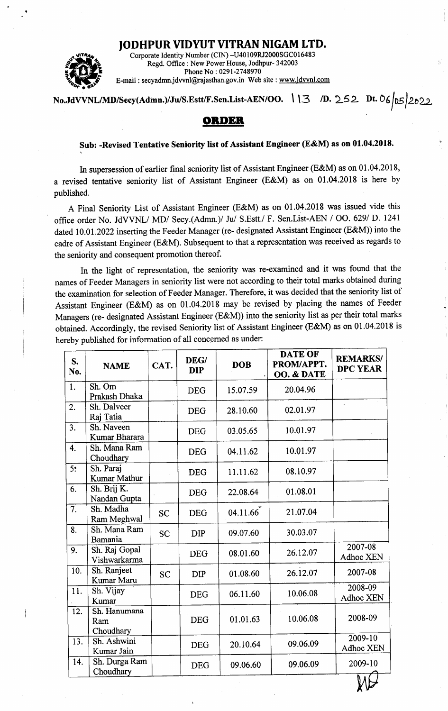## JODHPUR VIDYUT VITRAN NIGAM LTD.



Corporate Identity Number (CIN) -U40 I 09RI2000SGC0 I <sup>6483</sup> Regd. Office : New Power House, Jodhpur- 342003 Phone No: 0291-2748970 E-mail : secyadmn.jdvvnl@rajasthan.gov.in Web site : www.jdvvnl.com

## No.JdVVNL/MD/Secy(Admn.)/Ju/S.Estt/F.Sen.List-AEN/OO. 113 /D. 252 Dt. 06/05/2022

## OBIDEB

## Sub: -Revised Tentative Seniority list of Assistant Engineer (E&M) as on 01.04.2018.

In supersession of earlier final seniority list of Assistant Engineer (E&M) as on 01.04.2018, a revised tentative seniority list of Assistant Engineer (E&M) as on 01.04.2018 is here by published.

A Final Seniority List of Assistant Engineer (E&M) as on 01.04.2018 was issued vide this office order No. JdVVNL/ MD/ Secy.(Admn.)/ Ju/ S.Estt./ F. Sen.List-AEN / OO. 629/ D. 1241 dated 10.01 .2022 inserting the Feeder Manager (re- designated Assistant Engineer (E&M)) into the cadre of Assistant Engineer (E&M). Subsequent to that a representation was received as regards to the seniority and consequent promotion thereof.

In the light of representation, the seniority was re-examined and it was found that the names of Feeder Managers in seniority list were not according to their total marks obtained during the examination for selection of Feeder Manager. Therefore, it was decided that the seniority list of Assistant Engineer (E&M) as on 01.04.2018 may be revised by placing the names of Feeder Managers (re- designated Assistant Engineer (E&M)) into the seniority list as per their total marks obtained. Accordingly, the revised Seniority list of Assistant Engineer (E&M) as on 01.04.2018 is hereby published for information of all concerned as under:

| S.<br>No.        | <b>NAME</b>                      | CAT.      | DEG/<br><b>DIP</b> | <b>DOB</b> | <b>DATE OF</b><br>PROM/APPT.<br><b>OO. &amp; DATE</b> | <b>REMARKS/</b><br><b>DPC YEAR</b> |
|------------------|----------------------------------|-----------|--------------------|------------|-------------------------------------------------------|------------------------------------|
| 1.               | Sh. Om<br>Prakash Dhaka          |           | <b>DEG</b>         | 15.07.59   | 20.04.96                                              |                                    |
| $\overline{2}$ . | Sh. Dalveer<br>Raj Tatia         |           | <b>DEG</b>         | 28.10.60   | 02.01.97                                              |                                    |
| $\overline{3}$ . | Sh. Naveen<br>Kumar Bharara      |           | <b>DEG</b>         | 03.05.65   | 10.01.97                                              |                                    |
| 4.               | Sh. Mana Ram<br>Choudhary        |           | <b>DEG</b>         | 04.11.62   | 10.01.97                                              |                                    |
| $\overline{5}$ : | Sh. Paraj<br><b>Kumar Mathur</b> |           | <b>DEG</b>         | 11.11.62   | 08.10.97                                              |                                    |
| 6.               | Sh. Brij K.<br>Nandan Gupta      |           | <b>DEG</b>         | 22.08.64   | 01.08.01                                              |                                    |
| 7.               | Sh. Madha<br>Ram Meghwal         | <b>SC</b> | <b>DEG</b>         | 04.11.66   | 21.07.04                                              |                                    |
| 8.               | Sh. Mana Ram<br>Bamania          | <b>SC</b> | <b>DIP</b>         | 09.07.60   | 30.03.07                                              |                                    |
| 9.               | Sh. Raj Gopal<br>Vishwarkarma    |           | <b>DEG</b>         | 08.01.60   | 26.12.07                                              | 2007-08<br>Adhoc XEN               |
| 10.              | Sh. Ranjeet<br>Kumar Maru        | <b>SC</b> | <b>DIP</b>         | 01.08.60   | 26.12.07                                              | 2007-08                            |
| 11.              | Sh. Vijay<br>Kumar               |           | <b>DEG</b>         | 06.11.60   | 10.06.08                                              | 2008-09<br>Adhoc XEN               |
| 12.              | Sh. Hanumana<br>Ram<br>Choudhary |           | <b>DEG</b>         | 01.01.63   | 10.06.08                                              | 2008-09                            |
| 13.              | Sh. Ashwini<br>Kumar Jain        |           | <b>DEG</b>         | 20.10.64   | 09.06.09                                              | 2009-10<br>Adhoc XEN               |
| 14.              | Sh. Durga Ram<br>Choudhary       |           | <b>DEG</b>         | 09.06.60   | 09.06.09                                              | 2009-10<br>N 14                    |

y V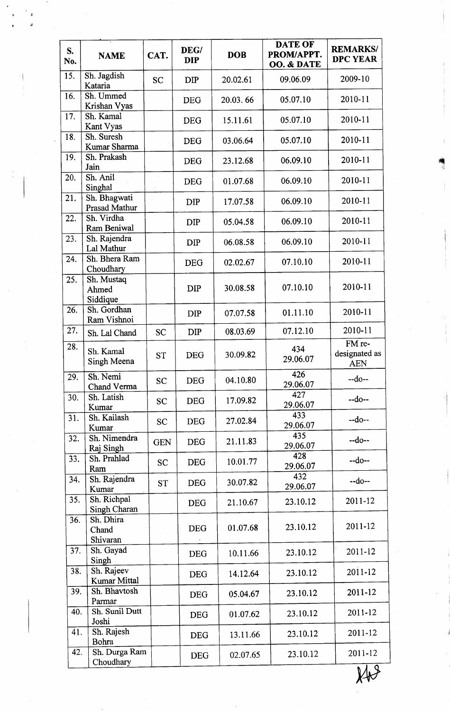| S.<br>No.         | <b>NAME</b>                       | CAT.       | DEG/<br><b>DIP</b> | <b>DOB</b> | <b>DATE OF</b><br>PROM/APPT.<br>OO. & DATE | <b>REMARKS/</b><br><b>DPC YEAR</b>    |
|-------------------|-----------------------------------|------------|--------------------|------------|--------------------------------------------|---------------------------------------|
| 15.               | Sh. Jagdish<br>Kataria            | <b>SC</b>  | <b>DIP</b>         | 20.02.61   | 09.06.09                                   | 2009-10                               |
| 16.               | Sh. Ummed<br>Krishan Vyas         |            | <b>DEG</b>         | 20.03.66   | 05.07.10                                   | 2010-11                               |
| 17.               | Sh. Kamal<br>Kant Vyas            |            | <b>DEG</b>         | 15.11.61   | 05.07.10                                   | 2010-11                               |
| 18.               | Sh. Suresh<br>Kumar Sharma        |            | <b>DEG</b>         | 03.06.64   | 05.07.10                                   | 2010-11                               |
| 19.               | Sh. Prakash<br>Jain               |            | <b>DEG</b>         | 23.12.68   | 06.09.10                                   | 2010-11                               |
| 20.               | Sh. Anil<br>Singhal               |            | <b>DEG</b>         | 01.07.68   | 06.09.10                                   | 2010-11                               |
| 21.               | Sh. Bhagwati<br>Prasad Mathur     |            | <b>DIP</b>         | 17.07.58   | 06.09.10                                   | 2010-11                               |
| 22.               | Sh. Virdha<br><b>Ram Beniwal</b>  |            | DIP                | 05.04.58   | 06.09.10                                   | 2010-11                               |
| 23.               | Sh. Rajendra<br>Lal Mathur        |            | <b>DIP</b>         | 06.08.58   | 06.09.10                                   | 2010-11                               |
| 24.               | Sh. Bhera Ram<br>Choudhary        |            | <b>DEG</b>         | 02.02.67   | 07.10.10                                   | 2010-11                               |
| 25.               | Sh. Mustaq<br>Ahmed<br>Siddique   |            | <b>DIP</b>         | 30.08.58   | 07.10.10                                   | 2010-11                               |
| 26.               | Sh. Gordhan<br>Ram Vishnoi        |            | DIP                | 07.07.58   | 01.11.10                                   | 2010-11                               |
| 27.               | Sh. Lal Chand                     | <b>SC</b>  | <b>DIP</b>         | 08.03.69   | 07.12.10                                   | 2010-11                               |
| 28.               | Sh. Kamal<br>Singh Meena          | <b>ST</b>  | <b>DEG</b>         | 30.09.82   | 434<br>29.06.07                            | FM re-<br>designated as<br><b>AEN</b> |
| 29.               | Sh. Nemi<br>Chand Verma           | <b>SC</b>  | <b>DEG</b>         | 04.10.80   | 426<br>29.06.07                            | $-do-$                                |
| 30.               | Sh. Latish<br>Kumar               | <b>SC</b>  | <b>DEG</b>         | 17.09.82   | 427<br>29.06.07                            | $-do-$                                |
| 31.               | Sh. Kailash<br>Kumar              | <b>SC</b>  | <b>DEG</b>         | 27.02.84   | 433<br>29.06.07                            | $-do-$                                |
| 32.               | Sh. Nimendra<br>Raj Singh         | <b>GEN</b> | <b>DEG</b>         | 21.11.83   | $-435$<br>29.06.07                         | $-do-$                                |
| $\overline{33}$ . | Sh. Prahlad<br>Ram                | <b>SC</b>  | <b>DEG</b>         | 10.01.77   | 428<br>29.06.07                            | $-do-$                                |
| 34.               | Sh. Rajendra<br>Kumar             | <b>ST</b>  | <b>DEG</b>         | 30.07.82   | 432<br>29.06.07                            | $-do-$                                |
| 35.               | Sh. Richpal<br>Singh Charan       |            | <b>DEG</b>         | 21.10.67   | 23.10.12                                   | 2011-12                               |
| 36.               | Sh. Dhira<br>Chand<br>Shivaran    |            | <b>DEG</b>         | 01.07.68   | 23.10.12                                   | 2011-12                               |
| 37.               | Sh. Gayad<br>Singh                |            | <b>DEG</b>         | 10.11.66   | 23.10.12                                   | 2011-12                               |
| 38.               | Sh. Rajeev<br><b>Kumar Mittal</b> |            | <b>DEG</b>         | 14.12.64   | 23.10.12                                   | 2011-12                               |
| 39.               | Sh. Bhavtosh<br>Parmar            |            | <b>DEG</b>         | 05.04.67   | 23.10.12                                   | 2011-12                               |
| 40.               | Sh. Sunil Dutt<br>Joshi           |            | <b>DEG</b>         | 01.07.62   | 23.10.12                                   | 2011-12                               |
| 41.               | Sh. Rajesh<br>Bohra               |            | <b>DEG</b>         | 13.11.66   | 23.10.12                                   | 2011-12                               |
| 42.               | Sh. Durga Ram<br>Choudhary        |            | <b>DEG</b>         | 02.07.65   | 23.10.12                                   | 2011-12                               |

rt t]

 $x+3$ 

4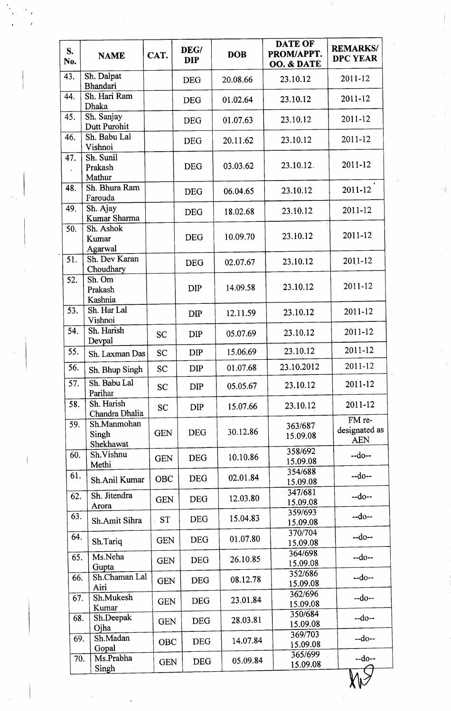| S.<br>No.         | <b>NAME</b>                       | CAT.       | DEG/<br><b>DIP</b> | <b>DOB</b> | <b>DATE OF</b><br>PROM/APPT.<br>OO. & DATE | <b>REMARKS/</b><br><b>DPC YEAR</b>    |
|-------------------|-----------------------------------|------------|--------------------|------------|--------------------------------------------|---------------------------------------|
| 43.               | Sh. Dalpat<br><b>Bhandari</b>     |            | <b>DEG</b>         | 20.08.66   | 23.10.12                                   | 2011-12                               |
| 44.               | Sh. Hari Ram<br>Dhaka             |            | <b>DEG</b>         | 01.02.64   | 23.10.12                                   | 2011-12                               |
| 45.               | Sh. Sanjay<br>Dutt Purohit        |            | <b>DEG</b>         | 01.07.63   | 23.10.12                                   | 2011-12                               |
| 46.               | Sh. Babu Lal<br>Vishnoi           |            | <b>DEG</b>         | 20.11.62   | 23.10.12                                   | 2011-12                               |
| 47.               | Sh. Sunil<br>Prakash<br>Mathur    |            | <b>DEG</b>         | 03.03.62   | 23.10.12.                                  | 2011-12                               |
| 48.               | Sh. Bhura Ram<br>Farouda          |            | <b>DEG</b>         | 06.04.65   | 23.10.12                                   | 2011-12                               |
| 49.               | Sh. Ajay<br>Kumar Sharma          |            | <b>DEG</b>         | 18.02.68   | 23.10.12                                   | 2011-12                               |
| 50.               | Sh. Ashok<br>Kumar<br>Agarwal     |            | <b>DEG</b>         | 10.09.70   | 23.10.12                                   | 2011-12                               |
| 51.               | Sh. Dev Karan<br>Choudhary        |            | <b>DEG</b>         | 02.07.67   | 23.10.12                                   | 2011-12                               |
| 52.               | Sh. Om<br>Prakash<br>Kashnia      |            | DIP                | 14.09.58   | 23.10.12                                   | 2011-12                               |
| 53.               | Sh. Har Lal<br>Vishnoi            |            | <b>DIP</b>         | 12.11.59   | 23.10.12                                   | 2011-12                               |
| 54.               | Sh. Harish<br>Devpal              | <b>SC</b>  | DIP                | 05.07.69   | 23.10.12                                   | 2011-12                               |
| 55.               | Sh. Laxman Das                    | <b>SC</b>  | <b>DIP</b>         | 15.06.69   | 23.10.12                                   | 2011-12                               |
| $\overline{56}$ . | Sh. Bhup Singh                    | <b>SC</b>  | DIP                | 01.07.68   | 23.10.2012                                 | 2011-12                               |
| 57.               | Sh. Babu Lal<br>Parihar           | <b>SC</b>  | <b>DIP</b>         | 05.05.67   | 23.10.12                                   | 2011-12                               |
| 58.               | Sh. Harish<br>Chandra Dhalia      | <b>SC</b>  | DIP                | 15.07.66   | 23.10.12                                   | 2011-12                               |
| 59.               | Sh.Manmohan<br>Singh<br>Shekhawat | <b>GEN</b> | <b>DEG</b>         | 30.12.86   | 363/687<br>15.09.08                        | FM re-<br>designated as<br><b>AEN</b> |
| 60.               | Sh.Vishnu<br>Methi                | <b>GEN</b> | <b>DEG</b>         | 10.10.86   | 358/692<br>15.09.08                        | $-do-$                                |
| 61.               | Sh.Anil Kumar                     | <b>OBC</b> | <b>DEG</b>         | 02.01.84   | 354/688<br>15.09.08                        | --do--                                |
| 62.               | Sh. Jitendra<br>Arora             | <b>GEN</b> | <b>DEG</b>         | 12.03.80   | 347/681<br>15.09.08                        | $-do-$                                |
| 63.               | Sh.Amit Sihra                     | <b>ST</b>  | <b>DEG</b>         | 15.04.83   | 359/693<br>15.09.08                        | $-do-$                                |
| 64.               | Sh.Tariq                          | <b>GEN</b> | <b>DEG</b>         | 01.07.80   | 370/704<br>15.09.08                        | $-do-$                                |
| 65.               | Ms.Neha<br>Gupta                  | <b>GEN</b> | <b>DEG</b>         | 26.10.85   | 364/698<br>15.09.08                        | $-do-$                                |
| 66.               | Sh.Chaman Lal<br>Airi             | <b>GEN</b> | <b>DEG</b>         | 08.12.78   | 352/686<br>15.09.08                        | $-do-$                                |
| 67.               | Sh.Mukesh<br>Kumar                | <b>GEN</b> | <b>DEG</b>         | 23.01.84   | 362/696<br>15.09.08                        | $-do-$                                |
| 68.               | Sh.Deepak<br>Ojha                 | <b>GEN</b> | <b>DEG</b>         | 28.03.81   | 350/684<br>15.09.08                        | $-do-$                                |
| 69.               | Sh.Madan<br>Gopal                 | <b>OBC</b> | <b>DEG</b>         | 14.07.84   | 369/703<br>15.09.08                        | $-do-$                                |
| 70.               | Ms.Prabha<br>Singh                | <b>GEN</b> | <b>DEG</b>         | 05.09.84   | 365/699<br>15.09.08                        | $-do-$                                |
|                   |                                   |            |                    |            |                                            |                                       |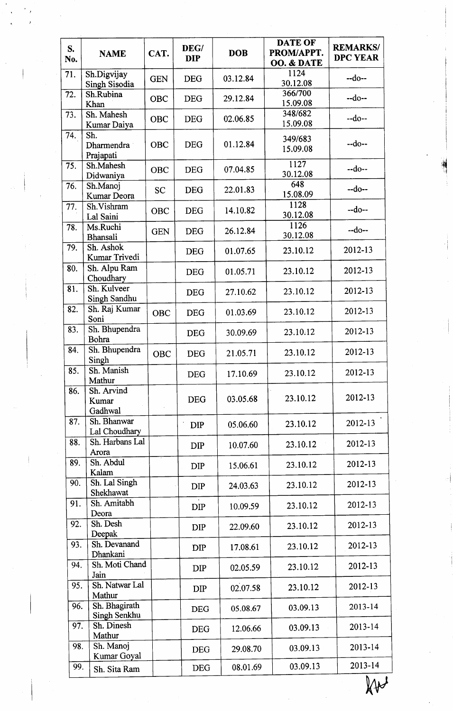| S.<br>No. | <b>NAME</b>                    | CAT.       | DEG/<br><b>DIP</b> | <b>DOB</b> | <b>DATE OF</b><br>PROM/APPT.<br>OO. & DATE | <b>REMARKS/</b><br><b>DPC YEAR</b> |
|-----------|--------------------------------|------------|--------------------|------------|--------------------------------------------|------------------------------------|
| 71.       | Sh.Digvijay<br>Singh Sisodia   | <b>GEN</b> | <b>DEG</b>         | 03.12.84   | 1124<br>30.12.08                           | $-do-$                             |
| 72.       | Sh.Rubina<br>Khan              | OBC        | <b>DEG</b>         | 29.12.84   | 366/700<br>15.09.08                        | $-do-$                             |
| 73.       | Sh. Mahesh<br>Kumar Daiya      | OBC        | <b>DEG</b>         | 02.06.85   | 348/682<br>15.09.08                        | $-do-$                             |
| 74.       | Sh.<br>Dharmendra<br>Prajapati | <b>OBC</b> | <b>DEG</b>         | 01.12.84   | 349/683<br>15.09.08                        | $-do-$                             |
| 75.       | Sh.Mahesh<br>Didwaniya         | OBC        | <b>DEG</b>         | 07.04.85   | 1127<br>30.12.08                           | $-do-$                             |
| 76.       | Sh.Manoj<br>Kumar Deora        | <b>SC</b>  | <b>DEG</b>         | 22.01.83   | 648<br>15.08.09                            | $-do-$                             |
| 77.       | Sh.Vishram<br>Lal Saini        | <b>OBC</b> | <b>DEG</b>         | 14.10.82   | 1128<br>30.12.08                           | $-do-$                             |
| 78.       | Ms.Ruchi<br>Bhansali           | <b>GEN</b> | <b>DEG</b>         | 26.12.84   | 1126<br>30.12.08                           | $-do-$                             |
| 79.       | Sh. Ashok<br>Kumar Trivedi     |            | <b>DEG</b>         | 01.07.65   | 23.10.12                                   | 2012-13                            |
| 80.       | Sh. Alpu Ram<br>Choudhary      |            | <b>DEG</b>         | 01.05.71   | 23.10.12                                   | 2012-13                            |
| 81.       | Sh. Kulveer<br>Singh Sandhu    |            | <b>DEG</b>         | 27.10.62   | 23.10.12                                   | 2012-13                            |
| 82.       | Sh. Raj Kumar<br>Soni          | <b>OBC</b> | <b>DEG</b>         | 01.03.69   | 23.10.12                                   | 2012-13                            |
| 83.       | Sh. Bhupendra<br>Bohra         |            | <b>DEG</b>         | 30.09.69   | 23.10.12                                   | 2012-13                            |
| 84.       | Sh. Bhupendra<br>Singh         | <b>OBC</b> | <b>DEG</b>         | 21.05.71   | 23.10.12                                   | 2012-13                            |
| 85.       | Sh. Manish<br>Mathur           |            | <b>DEG</b>         | 17.10.69   | 23.10.12                                   | 2012-13                            |
| 86.       | Sh. Arvind<br>Kumar<br>Gadhwal |            | <b>DEG</b>         | 03.05.68   | 23.10.12                                   | 2012-13                            |
| 87.       | Sh. Bhanwar<br>Lal Choudhary   |            | <b>DIP</b>         | 05.06.60   | 23.10.12                                   | 2012-13                            |
| 88.       | Sh. Harbans Lal<br>Arora       |            | <b>DIP</b>         | 10.07.60   | 23.10.12                                   | 2012-13                            |
| 89.       | Sh. Abdul<br>Kalam             |            | <b>DIP</b>         | 15.06.61   | 23.10.12                                   | 2012-13                            |
| 90.       | Sh. Lal Singh<br>Shekhawat     |            | <b>DIP</b>         | 24.03.63   | 23.10.12                                   | 2012-13                            |
| 91.       | Sh. Amitabh<br>Deora           |            | <b>DIP</b>         | 10.09.59   | 23.10.12                                   | 2012-13                            |
| 92.       | Sh. Desh<br>Deepak             |            | <b>DIP</b>         | 22.09.60   | 23.10.12                                   | 2012-13                            |
| 93.       | Sh. Devanand<br>Dhankani       |            | <b>DIP</b>         | 17.08.61   | 23.10.12                                   | 2012-13                            |
| 94.       | Sh. Moti Chand<br>Jain         |            | <b>DIP</b>         | 02.05.59   | 23.10.12                                   | 2012-13                            |
| 95.       | Sh. Natwar Lal<br>Mathur       |            | <b>DIP</b>         | 02.07.58   | 23.10.12                                   | 2012-13                            |
| 96.       | Sh. Bhagirath<br>Singh Senkhu  |            | <b>DEG</b>         | 05.08.67   | 03.09.13                                   | 2013-14                            |
| 97.       | Sh. Dinesh<br>Mathur           |            | <b>DEG</b>         | 12.06.66   | 03.09.13                                   | 2013-14                            |
| 98.       | Sh. Manoj<br>Kumar Goyal       |            | <b>DEG</b>         | 29.08.70   | 03.09.13                                   | 2013-14                            |
| 99.       | Sh. Sita Ram                   |            | <b>DEG</b>         | 08.01.69   | 03.09.13                                   | 2013-14                            |

 $\overline{\mathbb{W}}$ 

E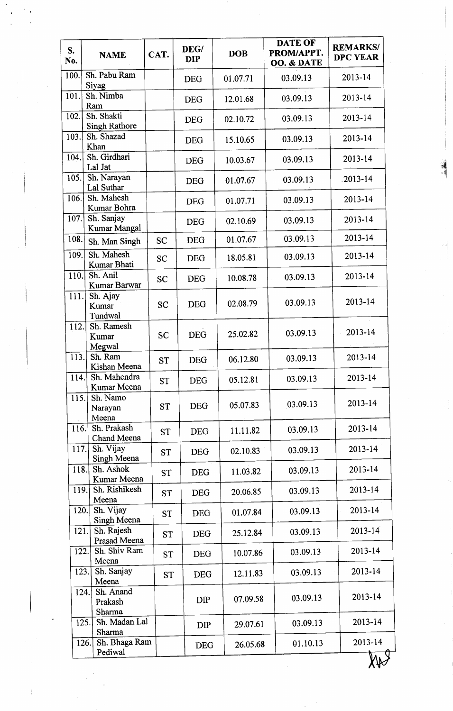| S.<br>No. | <b>NAME</b>                            | CAT.      | DEG/<br><b>DIP</b> | <b>DOB</b> | <b>DATE OF</b><br>PROM/APPT.<br>OO. & DATE | <b>REMARKS/</b><br><b>DPC YEAR</b> |
|-----------|----------------------------------------|-----------|--------------------|------------|--------------------------------------------|------------------------------------|
| 100.      | Sh. Pabu Ram<br>Siyag                  |           | <b>DEG</b>         | 01.07.71   | 03.09.13                                   | 2013-14                            |
| 101.      | Sh. Nimba<br>Ram                       |           | <b>DEG</b>         | 12.01.68   | 03.09.13                                   | 2013-14                            |
| 102.      | Sh. Shakti<br><b>Singh Rathore</b>     |           | <b>DEG</b>         | 02.10.72   | 03.09.13                                   | 2013-14                            |
| 103.      | Sh. Shazad<br>Khan                     |           | <b>DEG</b>         | 15.10.65   | 03.09.13                                   | 2013-14                            |
| 104.      | Sh. Girdhari<br>Lal Jat                |           | <b>DEG</b>         | 10.03.67   | 03.09.13                                   | 2013-14                            |
| 105.      | Sh. Narayan<br>Lal Suthar              |           | <b>DEG</b>         | 01.07.67   | 03.09.13                                   | $.2013 - 14$                       |
| 106.      | Sh. Mahesh<br>Kumar Bohra              |           | <b>DEG</b>         | 01.07.71   | 03.09.13                                   | 2013-14                            |
| 107.      | Sh. Sanjay<br><b>Kumar Mangal</b>      |           | <b>DEG</b>         | 02.10.69   | 03.09.13                                   | 2013-14                            |
| 108.      | Sh. Man Singh                          | <b>SC</b> | <b>DEG</b>         | 01.07.67   | 03.09.13                                   | 2013-14                            |
| 109.      | Sh. Mahesh<br>Kumar Bhati              | <b>SC</b> | <b>DEG</b>         | 18.05.81   | 03.09.13                                   | 2013-14                            |
| 110.      | Sh. Anil<br>Kumar Barwar               | <b>SC</b> | <b>DEG</b>         | 10.08.78   | 03.09.13                                   | 2013-14                            |
| 111.      | Sh. Ajay<br>Kumar<br>Tundwal           | <b>SC</b> | <b>DEG</b>         | 02.08.79   | 03.09.13                                   | 2013-14                            |
| 112.      | Sh. Ramesh<br>Kumar<br>Megwal          | <b>SC</b> | <b>DEG</b>         | 25.02.82   | 03.09.13                                   | 2013-14                            |
| 113.      | Sh. Ram<br>Kishan Meena                | <b>ST</b> | <b>DEG</b>         | 06.12.80   | 03.09.13                                   | 2013-14                            |
| 114.      | Sh. Mahendra<br>Kumar Meena            | <b>ST</b> | <b>DEG</b>         | 05.12.81   | 03.09.13                                   | 2013-14                            |
| 115.      | Sh. Namo<br>Narayan<br>Meena           | <b>ST</b> | <b>DEG</b>         | 05.07.83   | 03.09.13                                   | 2013-14                            |
| 116.      | Sh. Prakash<br>Chand Meena             | <b>ST</b> | <b>DEG</b>         | 11.11.82   | 03.09.13                                   | 2013-14                            |
| 117.      | Sh. Vijay<br>Singh Meena               | <b>ST</b> | <b>DEG</b>         | 02.10.83   | 03.09.13                                   | 2013-14                            |
| 118.      | Sh. Ashok<br>Kumar Meena               | <b>ST</b> | <b>DEG</b>         | 11.03.82   | 03.09.13                                   | 2013-14                            |
| 119.      | Sh. Rishikesh<br>Meena                 | <b>ST</b> | <b>DEG</b>         | 20.06.85   | 03.09.13                                   | 2013-14                            |
| 120.      | Sh. Vijay<br>Singh Meena               | <b>ST</b> | <b>DEG</b>         | 01.07.84   | 03.09.13                                   | 2013-14                            |
| 121.      | Sh. Rajesh<br>Prasad Meena             | <b>ST</b> | <b>DEG</b>         | 25.12.84   | 03.09.13                                   | 2013-14                            |
| 122.      | Sh. Shiv Ram<br>Meena                  | <b>ST</b> | <b>DEG</b>         | 10.07.86   | 03.09.13                                   | 2013-14                            |
| 123.      | Sh. Sanjay<br>Meena                    | <b>ST</b> | <b>DEG</b>         | 12.11.83   | 03.09.13                                   | 2013-14                            |
|           | Sh. Anand<br>124.<br>Prakash<br>Sharma |           | <b>DIP</b>         | 07.09.58   | 03.09.13                                   | 2013-14                            |
|           | Sh. Madan Lal<br>125.<br>Sharma        |           | <b>DIP</b>         | 29.07.61   | 03.09.13                                   | 2013-14                            |
|           | Sh. Bhaga Ram<br>126.<br>Pediwal       |           | <b>DEG</b>         | 26.05.68   | 01.10.13                                   | 2013-14                            |
|           |                                        |           |                    |            |                                            |                                    |

'H '1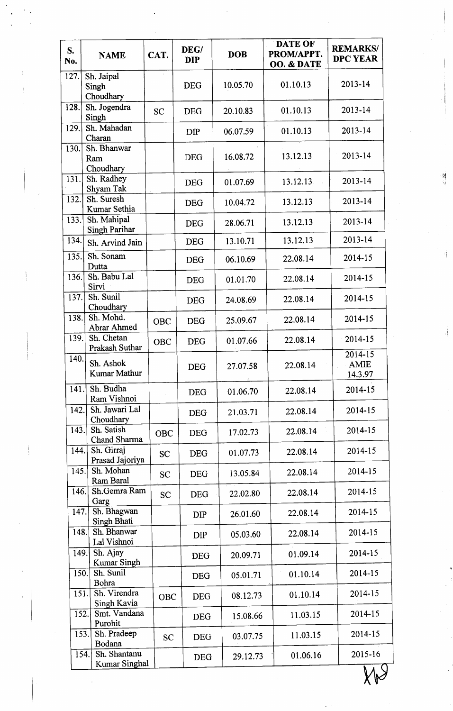| S.<br>No. | <b>NAME</b>                           | CAT.       | DEG/<br><b>DIP</b> | <b>DOB</b> | <b>DATE OF</b><br>PROM/APPT.<br>OO. & DATE | <b>REMARKS/</b><br><b>DPC YEAR</b> |
|-----------|---------------------------------------|------------|--------------------|------------|--------------------------------------------|------------------------------------|
| 127.      | Sh. Jaipal<br>Singh<br>Choudhary      |            | <b>DEG</b>         | 10.05.70   | 01.10.13                                   | 2013-14                            |
| 128.      | Sh. Jogendra<br>Singh                 | SC         | <b>DEG</b>         | 20.10.83   | 01.10.13                                   | 2013-14                            |
| 129.      | Sh. Mahadan<br>Charan                 |            | <b>DIP</b>         | 06.07.59   | 01.10.13                                   | 2013-14                            |
| 130.      | Sh. Bhanwar<br>Ram<br>Choudhary       |            | <b>DEG</b>         | 16.08.72   | 13.12.13                                   | 2013-14                            |
| 131.      | Sh. Radhey<br>Shyam Tak               |            | <b>DEG</b>         | 01.07.69   | 13.12.13                                   | 2013-14                            |
| 132.      | Sh. Suresh<br>Kumar Sethia            |            | <b>DEG</b>         | 10.04.72   | 13.12.13                                   | 2013-14                            |
| 133.      | Sh. Mahipal<br><b>Singh Parihar</b>   |            | <b>DEG</b>         | 28.06.71   | 13.12.13                                   | 2013-14                            |
| 134.      | Sh. Arvind Jain                       |            | <b>DEG</b>         | 13.10.71   | 13.12.13                                   | 2013-14                            |
| 135.      | Sh. Sonam<br>Dutta                    |            | <b>DEG</b>         | 06.10.69   | 22.08.14                                   | 2014-15                            |
| 136.      | Sh. Babu Lal<br>Sirvi                 |            | <b>DEG</b>         | 01.01.70   | 22.08.14                                   | 2014-15                            |
| 137.      | Sh. Sunil<br>Choudhary                |            | <b>DEG</b>         | 24.08.69   | 22.08.14                                   | 2014-15                            |
| 138.      | Sh. Mohd.<br><b>Abrar Ahmed</b>       | OBC        | <b>DEG</b>         | 25.09.67   | 22.08.14                                   | 2014-15                            |
| 139.      | Sh. Chetan<br>Prakash Suthar          | OBC        | <b>DEG</b>         | 01.07.66   | 22.08.14                                   | 2014-15                            |
| 140.      | Sh. Ashok<br><b>Kumar Mathur</b>      |            | <b>DEG</b>         | 27.07.58   | 22.08.14                                   | 2014-15<br><b>AMIE</b><br>14.3.97  |
| 141.      | Sh. Budha<br>Ram Vishnoi              |            | <b>DEG</b>         | 01.06.70   | 22.08.14                                   | 2014-15                            |
| 142.      | Sh. Jawari Lal<br>Choudhary           |            | <b>DEG</b>         | 21.03.71   | 22.08.14                                   | 2014-15                            |
| 143.      | Sh. Satish<br>Chand Sharma            | <b>OBC</b> | <b>DEG</b>         | 17.02.73   | 22.08.14                                   | 2014-15                            |
| 144.      | Sh. Girraj<br>Prasad Jajoriya         | <b>SC</b>  | <b>DEG</b>         | 01.07.73   | 22.08.14                                   | 2014-15                            |
| 145.      | Sh. Mohan<br>Ram Baral                | <b>SC</b>  | <b>DEG</b>         | 13.05.84   | 22.08.14                                   | 2014-15                            |
| 146.      | Sh.Gemra Ram<br>Garg                  | <b>SC</b>  | <b>DEG</b>         | 22.02.80   | 22.08.14                                   | 2014-15                            |
| 147.      | Sh. Bhagwan<br>Singh Bhati            |            | <b>DIP</b>         | 26.01.60   | 22.08.14                                   | 2014-15                            |
| 148.      | Sh. Bhanwar<br>Lal Vishnoi            |            | <b>DIP</b>         | 05.03.60   | 22.08.14                                   | 2014-15                            |
| 149.      | Sh. Ajay<br>Kumar Singh               |            | <b>DEG</b>         | 20.09.71   | 01.09.14                                   | 2014-15                            |
| 150.      | Sh. Sunil<br>Bohra                    |            | <b>DEG</b>         | 05.01.71   | 01.10.14                                   | 2014-15                            |
| 151.      | Sh. Virendra<br>Singh Kavia           | <b>OBC</b> | <b>DEG</b>         | 08.12.73   | 01.10.14                                   | 2014-15                            |
| 152.      | Smt. Vandana<br>Purohit               |            | <b>DEG</b>         | 15.08.66   | 11.03.15                                   | 2014-15                            |
|           | 153.<br>Sh. Pradeep<br>Bodana         | <b>SC</b>  | <b>DEG</b>         | 03.07.75   | 11.03.15                                   | 2014-15                            |
|           | Sh. Shantanu<br>154.<br>Kumar Singhal |            | <b>DEG</b>         | 29.12.73   | 01.06.16                                   | 2015-16                            |

 $X \rightarrow Y$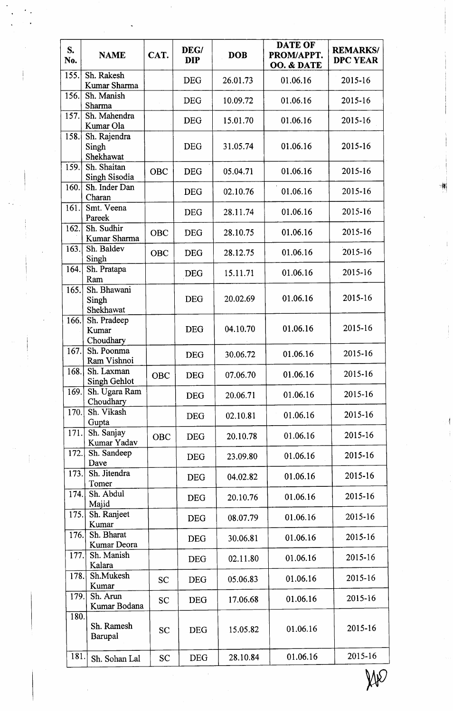| S.<br>No. | <b>NAME</b>                        | CAT.       | DEG/<br><b>DIP</b> | <b>DOB</b> | <b>DATE OF</b><br>PROM/APPT.<br>OO. & DATE | <b>REMARKS/</b><br><b>DPC YEAR</b> |
|-----------|------------------------------------|------------|--------------------|------------|--------------------------------------------|------------------------------------|
| 155.      | Sh. Rakesh<br>Kumar Sharma         |            | <b>DEG</b>         | 26.01.73   | 01.06.16                                   | 2015-16                            |
| 156.      | Sh. Manish<br>Sharma               |            | <b>DEG</b>         | 10.09.72   | 01.06.16                                   | 2015-16                            |
| 157.      | Sh. Mahendra<br>Kumar Ola          |            | <b>DEG</b>         | 15.01.70   | 01.06.16                                   | 2015-16                            |
| 158.      | Sh. Rajendra<br>Singh<br>Shekhawat |            | <b>DEG</b>         | 31.05.74   | 01.06.16                                   | 2015-16                            |
| 159.      | Sh. Shaitan<br>Singh Sisodia       | <b>OBC</b> | <b>DEG</b>         | 05.04.71   | 01.06.16                                   | 2015-16                            |
| 160.      | Sh. Inder Dan<br>Charan            |            | <b>DEG</b>         | 02.10.76   | 01.06.16                                   | 2015-16                            |
| 161.      | Smt. Veena<br>Pareek               |            | <b>DEG</b>         | 28.11.74   | 01.06.16                                   | 2015-16                            |
| 162.      | Sh. Sudhir<br>Kumar Sharma         | OBC        | <b>DEG</b>         | 28.10.75   | 01.06.16                                   | 2015-16                            |
| 163.      | Sh. Baldev<br>Singh                | <b>OBC</b> | <b>DEG</b>         | 28.12.75   | 01.06.16                                   | 2015-16                            |
| 164.      | Sh. Pratapa<br>Ram                 |            | <b>DEG</b>         | 15.11.71   | 01.06.16                                   | 2015-16                            |
| 165.      | Sh. Bhawani<br>Singh<br>Shekhawat  |            | <b>DEG</b>         | 20.02.69   | 01.06.16                                   | 2015-16                            |
| 166.      | Sh. Pradeep<br>Kumar<br>Choudhary  |            | <b>DEG</b>         | 04.10.70   | 01.06.16                                   | 2015-16                            |
| 167.      | Sh. Poonma<br>Ram Vishnoi          |            | <b>DEG</b>         | 30.06.72   | 01.06.16                                   | 2015-16                            |
| 168.      | Sh. Laxman<br>Singh Gehlot         | <b>OBC</b> | <b>DEG</b>         | 07.06.70   | 01.06.16                                   | 2015-16                            |
| 169.      | Sh. Ugara Ram<br>Choudhary         |            | <b>DEG</b>         | 20.06.71   | 01.06.16                                   | 2015-16                            |
| 170.      | Sh. Vikash<br>Gupta                |            | <b>DEG</b>         | 02.10.81   | 01.06.16                                   | 2015-16                            |
| 171.      | Sh. Sanjay<br>Kumar Yadav          | <b>OBC</b> | <b>DEG</b>         | 20.10.78   | 01.06.16                                   | 2015-16                            |
| 172.      | Sh. Sandeep<br>Dave                |            | <b>DEG</b>         | 23.09.80   | 01.06.16                                   | 2015-16                            |
| 173.      | Sh. Jitendra<br>Tomer              |            | <b>DEG</b>         | 04.02.82   | 01.06.16                                   | 2015-16                            |
| 174.      | Sh. Abdul<br>Majid                 |            | <b>DEG</b>         | 20.10.76   | 01.06.16                                   | 2015-16                            |
| 175.      | Sh. Ranjeet<br>Kumar               |            | <b>DEG</b>         | 08.07.79   | 01.06.16                                   | 2015-16                            |
| 176.      | Sh. Bharat<br>Kumar Deora          |            | <b>DEG</b>         | 30.06.81   | 01.06.16                                   | 2015-16                            |
| 177.      | Sh. Manish<br>Kalara               |            | <b>DEG</b>         | 02.11.80   | 01.06.16                                   | 2015-16                            |
| 178.      | Sh.Mukesh<br>Kumar                 | <b>SC</b>  | <b>DEG</b>         | 05.06.83   | 01.06.16                                   | 2015-16                            |
| 179.      | Sh. Arun<br>Kumar Bodana           | <b>SC</b>  | <b>DEG</b>         | 17.06.68   | 01.06.16                                   | 2015-16                            |
| 180.      | Sh. Ramesh<br>Barupal              | <b>SC</b>  | <b>DEG</b>         | 15.05.82   | 01.06.16                                   | 2015-16                            |
| 181.      | Sh. Sohan Lal                      | <b>SC</b>  | <b>DEG</b>         | 28.10.84   | 01.06.16                                   | 2015-16                            |

sl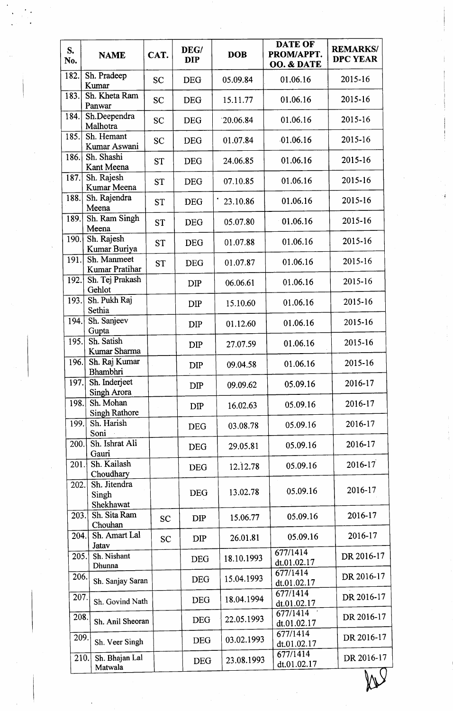| S.<br>No. | <b>NAME</b>                        | CAT.      | DEG/<br><b>DIP</b> | <b>DOB</b> | <b>DATE OF</b><br>PROM/APPT.<br>OO. & DATE | <b>REMARKS/</b><br><b>DPC YEAR</b> |
|-----------|------------------------------------|-----------|--------------------|------------|--------------------------------------------|------------------------------------|
| 182.      | Sh. Pradeep<br>Kumar               | <b>SC</b> | <b>DEG</b>         | 05.09.84   | 01.06.16                                   | 2015-16                            |
| 183.      | Sh. Kheta Ram<br>Panwar            | <b>SC</b> | <b>DEG</b>         | 15.11.77   | 01.06.16                                   | 2015-16                            |
| 184.      | Sh.Deependra<br>Malhotra           | <b>SC</b> | <b>DEG</b>         | 20.06.84   | 01.06.16                                   | 2015-16                            |
| 185.      | Sh. Hemant<br>Kumar Aswani         | <b>SC</b> | <b>DEG</b>         | 01.07.84   | 01.06.16                                   | 2015-16                            |
| 186.      | Sh. Shashi<br>Kant Meena           | <b>ST</b> | <b>DEG</b>         | 24.06.85   | 01.06.16                                   | 2015-16                            |
| 187.      | Sh. Rajesh<br>Kumar Meena          | <b>ST</b> | <b>DEG</b>         | 07.10.85   | 01.06.16                                   | 2015-16                            |
| 188.      | Sh. Rajendra<br>Meena              | <b>ST</b> | <b>DEG</b>         | 23.10.86   | 01.06.16                                   | 2015-16                            |
| 189.      | Sh. Ram Singh<br>Meena             | <b>ST</b> | <b>DEG</b>         | 05.07.80   | 01.06.16                                   | 2015-16                            |
| 190.      | Sh. Rajesh<br>Kumar Buriya         | <b>ST</b> | <b>DEG</b>         | 01.07.88   | 01.06.16                                   | 2015-16                            |
| 191.      | Sh. Manmeet<br>Kumar Pratihar      | <b>ST</b> | <b>DEG</b>         | 01.07.87   | 01.06.16                                   | 2015-16                            |
| 192.      | Sh. Tej Prakash<br>Gehlot          |           | <b>DIP</b>         | 06.06.61   | 01.06.16                                   | 2015-16                            |
| 193.      | Sh. Pukh Raj<br>Sethia             |           | <b>DIP</b>         | 15.10.60   | 01.06.16                                   | 2015-16                            |
| 194.      | Sh. Sanjeev<br>Gupta               |           | <b>DIP</b>         | 01.12.60   | 01.06.16                                   | 2015-16                            |
| 195.      | Sh. Satish<br>Kumar Sharma         |           | DIP                | 27.07.59   | 01.06.16                                   | 2015-16                            |
| 196.      | Sh. Raj Kumar<br>Bhambhri          |           | DIP                | 09.04.58   | 01.06.16                                   | 2015-16                            |
| 197.      | Sh. Inderjeet<br>Singh Arora       |           | <b>DIP</b>         | 09.09.62   | 05.09.16                                   | 2016-17                            |
| 198.      | Sh. Mohan<br><b>Singh Rathore</b>  |           | <b>DIP</b>         | 16.02.63   | 05.09.16                                   | 2016-17                            |
| 199.      | Sh. Harish<br>Soni                 |           | <b>DEG</b>         | 03.08.78   | 05.09.16                                   | 2016-17                            |
| 200.      | Sh. Ishrat Ali<br>Gauri            |           | <b>DEG</b>         | 29.05.81   | 05.09.16                                   | 2016-17                            |
| 201.      | Sh. Kailash<br>Choudhary           |           | <b>DEG</b>         | 12.12.78   | 05.09.16                                   | $2016 - 17$                        |
| 202.      | Sh. Jitendra<br>Singh<br>Shekhawat |           | <b>DEG</b>         | 13.02.78   | 05.09.16                                   | 2016-17                            |
| 203.      | Sh. Sita Ram<br>Chouhan            | <b>SC</b> | DIP                | 15.06.77   | 05.09.16                                   | 2016-17                            |
| 204.      | Sh. Amart Lal<br>Jatav             | <b>SC</b> | <b>DIP</b>         | 26.01.81   | 05.09.16                                   | 2016-17                            |
| 205.      | Sh. Nishant<br>Dhunna              |           | <b>DEG</b>         | 18.10.1993 | 677/1414<br>dt.01.02.17                    | DR 2016-17                         |
| 206.      | Sh. Sanjay Saran                   |           | <b>DEG</b>         | 15.04.1993 | 677/1414<br>dt.01.02.17                    | DR 2016-17                         |
| 207.      | Sh. Govind Nath                    |           | <b>DEG</b>         | 18.04.1994 | 677/1414<br>dt.01.02.17                    | DR 2016-17                         |
| 208.      | Sh. Anil Sheoran                   |           | <b>DEG</b>         | 22.05.1993 | 677/1414<br>dt.01.02.17                    | DR 2016-17                         |
| 209.      | Sh. Veer Singh                     |           | <b>DEG</b>         | 03.02.1993 | 677/1414<br>dt.01.02.17                    | DR 2016-17                         |
| 210.      | Sh. Bhajan Lal<br>Matwala          |           | <b>DEG</b>         | 23.08.1993 | 677/1414<br>dt.01.02.17                    | DR 2016-17                         |
|           |                                    |           |                    |            |                                            |                                    |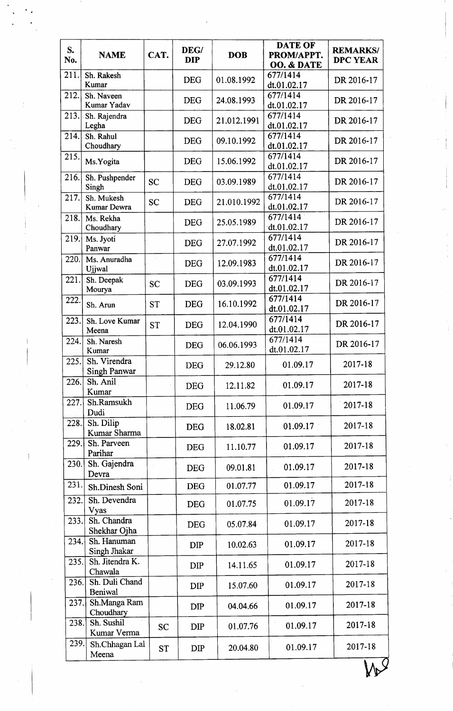| S.<br>No. | <b>NAME</b>                         | CAT.            | DEG/<br><b>DIP</b> | <b>DOB</b>  | <b>DATE OF</b><br>PROM/APPT.<br>OO. & DATE | <b>REMARKS/</b><br><b>DPC YEAR</b> |  |
|-----------|-------------------------------------|-----------------|--------------------|-------------|--------------------------------------------|------------------------------------|--|
| 211.      | Sh. Rakesh<br>Kumar                 |                 | <b>DEG</b>         | 01.08.1992  | 677/1414<br>dt.01.02.17                    | DR 2016-17                         |  |
| 212.      | Sh. Naveen<br>Kumar Yadav           |                 | <b>DEG</b>         | 24.08.1993  | 677/1414<br>dt.01.02.17                    | DR 2016-17                         |  |
| 213.      | Sh. Rajendra<br>Legha               |                 | <b>DEG</b>         | 21.012.1991 | 677/1414<br>dt.01.02.17                    | DR 2016-17                         |  |
| 214.      | Sh. Rahul<br>Choudhary              |                 | <b>DEG</b>         | 09.10.1992  | 677/1414<br>dt.01.02.17                    | DR 2016-17                         |  |
| 215.      | Ms.Yogita                           |                 | <b>DEG</b>         | 15.06.1992  | 677/1414<br>dt.01.02.17                    | DR 2016-17                         |  |
| 216.      | Sh. Pushpender<br>Singh             | <b>SC</b>       | <b>DEG</b>         | 03.09.1989  | 677/1414<br>dt.01.02.17                    | DR 2016-17                         |  |
| 217.      | Sh. Mukesh<br>Kumar Dewra           | <b>SC</b>       | <b>DEG</b>         | 21.010.1992 | 677/1414<br>dt.01.02.17                    | DR 2016-17                         |  |
| 218.      | Ms. Rekha<br>Choudhary              |                 | <b>DEG</b>         | 25.05.1989  | 677/1414<br>dt.01.02.17                    | DR 2016-17                         |  |
| 219.      | Ms. Jyoti<br>Panwar                 |                 | <b>DEG</b>         | 27.07.1992  | 677/1414<br>dt.01.02.17                    | DR 2016-17                         |  |
| 220.      | Ms. Anuradha<br>Ujjwal              |                 | <b>DEG</b>         | 12.09.1983  | 677/1414<br>dt.01.02.17                    | DR 2016-17                         |  |
| 221.      | Sh. Deepak<br>Mourya                | <b>SC</b>       | <b>DEG</b>         | 03.09.1993  | 677/1414<br>dt.01.02.17                    | DR 2016-17                         |  |
| 222.      | Sh. Arun                            | <b>ST</b>       | <b>DEG</b>         | 16.10.1992  | 677/1414<br>dt.01.02.17                    | DR 2016-17                         |  |
| 223.      | Sh. Love Kumar<br>Meena             | <b>ST</b>       | <b>DEG</b>         | 12.04.1990  | 677/1414<br>dt.01.02.17                    | DR 2016-17                         |  |
| 224.      | Sh. Naresh<br>Kumar                 |                 | <b>DEG</b>         | 06.06.1993  | 677/1414<br>dt.01.02.17                    | DR 2016-17                         |  |
| 225.      | Sh. Virendra<br><b>Singh Panwar</b> |                 | <b>DEG</b>         | 29.12.80    | 01.09.17                                   | 2017-18                            |  |
| 226.      | Sh. Anil<br>Kumar                   |                 | <b>DEG</b>         | 12.11.82    | 01.09.17                                   | 2017-18                            |  |
| 227.      | Sh.Ramsukh<br>Dudi                  |                 | <b>DEG</b>         | 11.06.79    | 01.09.17                                   | 2017-18                            |  |
| 228.      | Sh. Dilip<br>Kumar Sharma           |                 | <b>DEG</b>         | 18.02.81    | 01.09.17                                   | 2017-18                            |  |
| 229.      | Sh. Parveen<br>Parihar              |                 | <b>DEG</b>         | 11.10.77    | 01.09.17                                   | 2017-18                            |  |
| 230.      | Sh. Gajendra<br>Devra               |                 | <b>DEG</b>         | 09.01.81    | 01.09.17                                   | 2017-18                            |  |
| 231.      | Sh.Dinesh Soni                      |                 | <b>DEG</b>         | 01.07.77    | 01.09.17                                   | 2017-18                            |  |
| 232.      | Sh. Devendra<br>Vyas                |                 | <b>DEG</b>         | 01.07.75    | 01.09.17                                   | 2017-18                            |  |
| 233.      | Sh. Chandra<br>Shekhar Ojha         |                 | <b>DEG</b>         | 05.07.84    | 01.09.17                                   | 2017-18                            |  |
| 234.      | Sh. Hanuman<br>Singh Jhakar         |                 | <b>DIP</b>         | 10.02.63    | 01.09.17                                   | 2017-18                            |  |
| 235.      | Sh. Jitendra K.<br>Chawala          |                 | <b>DIP</b>         | 14.11.65    | 01.09.17                                   | 2017-18                            |  |
| 236.      | Sh. Duli Chand<br>Beniwal           |                 | <b>DIP</b>         | 15.07.60    | 01.09.17                                   | 2017-18                            |  |
| 237.      | Sh.Manga Ram<br>Choudhary           |                 | <b>DIP</b>         | 04.04.66    | 01.09.17                                   | 2017-18                            |  |
| 238.      | Sh. Sushil<br>Kumar Verma           | <b>SC</b>       | <b>DIP</b>         | 01.07.76    | 01.09.17                                   | 2017-18                            |  |
| 239.      | Sh.Chhagan Lal<br>Meena             | ST <sup>®</sup> | <b>DIP</b>         | 20.04.80    | 01.09.17                                   | 2017-18                            |  |
|           |                                     |                 |                    |             |                                            |                                    |  |